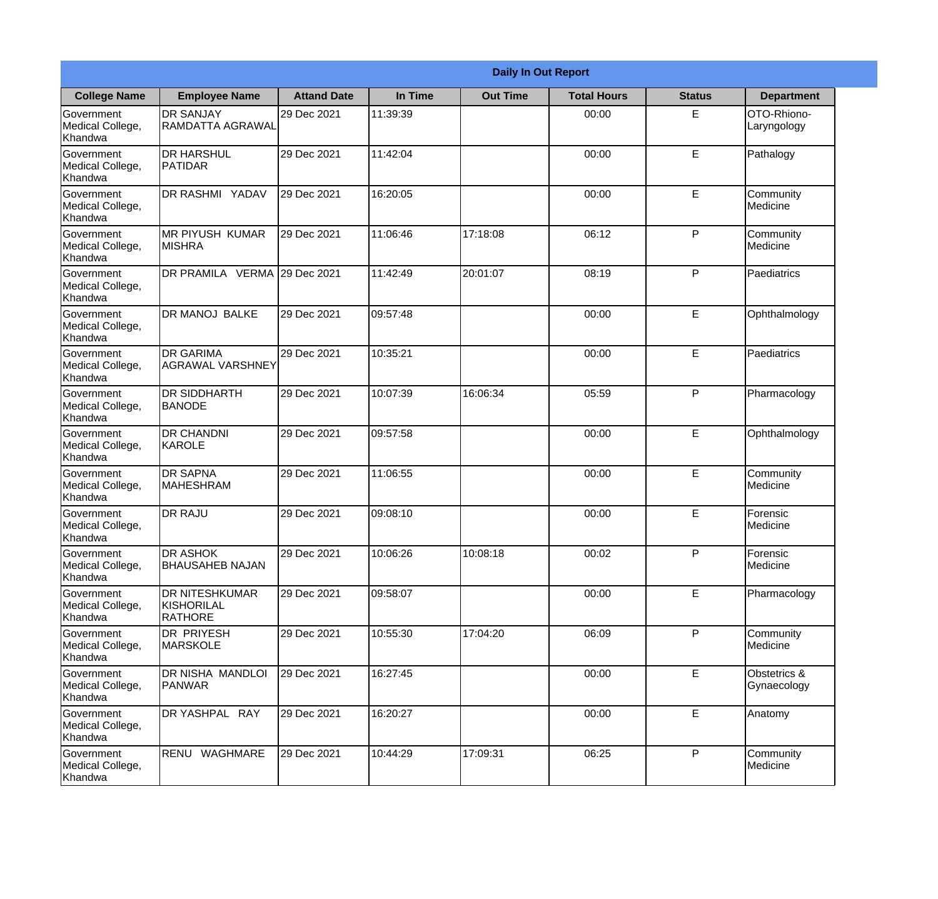|                                           | <b>Daily In Out Report</b>                                   |                    |          |                 |                    |               |                             |
|-------------------------------------------|--------------------------------------------------------------|--------------------|----------|-----------------|--------------------|---------------|-----------------------------|
| <b>College Name</b>                       | <b>Employee Name</b>                                         | <b>Attand Date</b> | In Time  | <b>Out Time</b> | <b>Total Hours</b> | <b>Status</b> | <b>Department</b>           |
| Government<br>Medical College,<br>Khandwa | <b>DR SANJAY</b><br><b>RAMDATTA AGRAWAL</b>                  | 29 Dec 2021        | 11:39:39 |                 | 00:00              | E             | OTO-Rhiono-<br>Laryngology  |
| Government<br>Medical College,<br>Khandwa | <b>DR HARSHUL</b><br>PATIDAR                                 | 29 Dec 2021        | 11:42:04 |                 | 00:00              | E             | Pathalogy                   |
| Government<br>Medical College,<br>Khandwa | DR RASHMI YADAV                                              | 29 Dec 2021        | 16:20:05 |                 | 00:00              | E             | Community<br>Medicine       |
| Government<br>Medical College,<br>Khandwa | <b>MR PIYUSH KUMAR</b><br><b>MISHRA</b>                      | 29 Dec 2021        | 11:06:46 | 17:18:08        | 06:12              | P             | Community<br>Medicine       |
| Government<br>Medical College,<br>Khandwa | DR PRAMILA VERMA                                             | 29 Dec 2021        | 11:42:49 | 20:01:07        | 08:19              | P             | Paediatrics                 |
| Government<br>Medical College,<br>Khandwa | <b>DR MANOJ BALKE</b>                                        | 29 Dec 2021        | 09:57:48 |                 | 00:00              | E             | Ophthalmology               |
| Government<br>Medical College,<br>Khandwa | <b>DR GARIMA</b><br><b>AGRAWAL VARSHNEY</b>                  | 29 Dec 2021        | 10:35:21 |                 | 00:00              | E             | Paediatrics                 |
| Government<br>Medical College,<br>Khandwa | <b>DR SIDDHARTH</b><br><b>BANODE</b>                         | 29 Dec 2021        | 10:07:39 | 16:06:34        | 05:59              | P             | Pharmacology                |
| Government<br>Medical College,<br>Khandwa | <b>DR CHANDNI</b><br>KAROLE                                  | 29 Dec 2021        | 09:57:58 |                 | 00:00              | E             | Ophthalmology               |
| Government<br>Medical College,<br>Khandwa | <b>DR SAPNA</b><br><b>MAHESHRAM</b>                          | 29 Dec 2021        | 11:06:55 |                 | 00:00              | E             | Community<br>Medicine       |
| Government<br>Medical College,<br>Khandwa | <b>DR RAJU</b>                                               | 29 Dec 2021        | 09:08:10 |                 | 00:00              | E             | Forensic<br>Medicine        |
| Government<br>Medical College,<br>Khandwa | <b>DR ASHOK</b><br><b>BHAUSAHEB NAJAN</b>                    | 29 Dec 2021        | 10:06:26 | 10:08:18        | 00:02              | P             | Forensic<br>Medicine        |
| Government<br>Medical College,<br>Khandwa | <b>DR NITESHKUMAR</b><br><b>KISHORILAL</b><br><b>RATHORE</b> | 29 Dec 2021        | 09:58:07 |                 | 00:00              | E             | Pharmacology                |
| Government<br>Medical College,<br>Khandwa | DR PRIYESH<br><b>MARSKOLE</b>                                | 29 Dec 2021        | 10:55:30 | 17:04:20        | 06:09              | P             | Community<br>Medicine       |
| Government<br>Medical College,<br>Khandwa | DR NISHA MANDLOI<br><b>PANWAR</b>                            | 29 Dec 2021        | 16:27:45 |                 | 00:00              | E             | Obstetrics &<br>Gynaecology |
| Government<br>Medical College,<br>Khandwa | DR YASHPAL RAY                                               | 29 Dec 2021        | 16:20:27 |                 | 00:00              | E             | Anatomy                     |
| Government<br>Medical College,<br>Khandwa | RENU WAGHMARE                                                | 29 Dec 2021        | 10:44:29 | 17:09:31        | 06:25              | P             | Community<br>Medicine       |